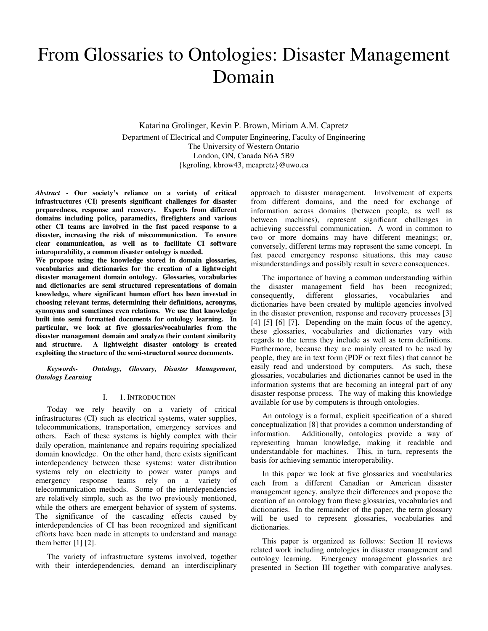# From Glossaries to Ontologies: Disaster Management Domain

Katarina Grolinger, Kevin P. Brown, Miriam A.M. Capretz Department of Electrical and Computer Engineering, Faculty of Engineering The University of Western Ontario London, ON, Canada N6A 5B9 {kgroling, kbrow43, mcapretz}@uwo.ca

*Abstract* **- Our society's reliance on a variety of critical infrastructures (CI) presents significant challenges for disaster preparedness, response and recovery. Experts from different domains including police, paramedics, firefighters and various other CI teams are involved in the fast paced response to a disaster, increasing the risk of miscommunication. To ensure clear communication, as well as to facilitate CI software interoperability, a common disaster ontology is needed.** 

**We propose using the knowledge stored in domain glossaries, vocabularies and dictionaries for the creation of a lightweight disaster management domain ontology. Glossaries, vocabularies and dictionaries are semi structured representations of domain knowledge, where significant human effort has been invested in choosing relevant terms, determining their definitions, acronyms, synonyms and sometimes even relations. We use that knowledge built into semi formatted documents for ontology learning. In particular, we look at five glossaries/vocabularies from the disaster management domain and analyze their content similarity and structure. A lightweight disaster ontology is created exploiting the structure of the semi-structured source documents.** 

*Keywords- Ontology, Glossary, Disaster Management, Ontology Learning* 

#### I. 1. INTRODUCTION

Today we rely heavily on a variety of critical infrastructures (CI) such as electrical systems, water supplies, telecommunications, transportation, emergency services and others. Each of these systems is highly complex with their daily operation, maintenance and repairs requiring specialized domain knowledge. On the other hand, there exists significant interdependency between these systems: water distribution systems rely on electricity to power water pumps and emergency response teams rely on a variety of telecommunication methods. Some of the interdependencies are relatively simple, such as the two previously mentioned, while the others are emergent behavior of system of systems. The significance of the cascading effects caused by interdependencies of CI has been recognized and significant efforts have been made in attempts to understand and manage them better  $[1]$   $[2]$ .

The variety of infrastructure systems involved, together with their interdependencies, demand an interdisciplinary approach to disaster management. Involvement of experts from different domains, and the need for exchange of information across domains (between people, as well as between machines), represent significant challenges in achieving successful communication. A word in common to two or more domains may have different meanings; or, conversely, different terms may represent the same concept. In fast paced emergency response situations, this may cause misunderstandings and possibly result in severe consequences.

The importance of having a common understanding within the disaster management field has been recognized;<br>consequently, different glossaries, vocabularies and consequently, different glossaries, vocabularies and dictionaries have been created by multiple agencies involved in the disaster prevention, response and recovery processes [3] [4] [5] [6] [7]. Depending on the main focus of the agency, these glossaries, vocabularies and dictionaries vary with regards to the terms they include as well as term definitions. Furthermore, because they are mainly created to be used by people, they are in text form (PDF or text files) that cannot be easily read and understood by computers. As such, these glossaries, vocabularies and dictionaries cannot be used in the information systems that are becoming an integral part of any disaster response process. The way of making this knowledge available for use by computers is through ontologies.

An ontology is a formal, explicit specification of a shared conceptualization [8] that provides a common understanding of information. Additionally, ontologies provide a way of representing human knowledge, making it readable and understandable for machines. This, in turn, represents the basis for achieving semantic interoperability.

In this paper we look at five glossaries and vocabularies each from a different Canadian or American disaster management agency, analyze their differences and propose the creation of an ontology from these glossaries, vocabularies and dictionaries. In the remainder of the paper, the term glossary will be used to represent glossaries, vocabularies and dictionaries.

This paper is organized as follows: Section II reviews related work including ontologies in disaster management and ontology learning. Emergency management glossaries are presented in Section III together with comparative analyses.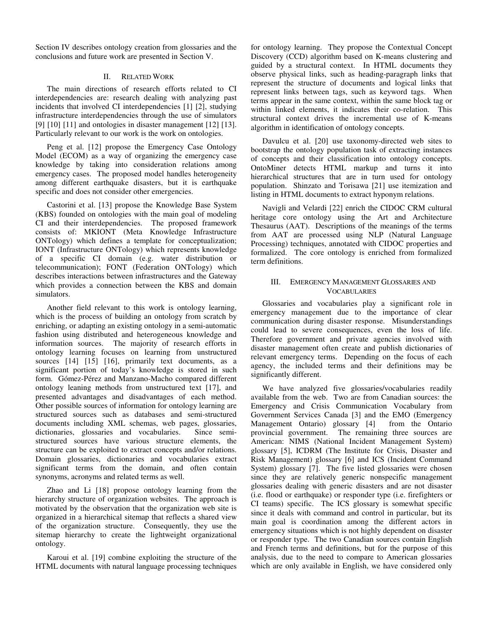Section IV describes ontology creation from glossaries and the conclusions and future work are presented in Section V.

### II. RELATED WORK

The main directions of research efforts related to CI interdependencies are: research dealing with analyzing past incidents that involved CI interdependencies [1] [2], studying infrastructure interdependencies through the use of simulators [9] [10] [11] and ontologies in disaster management [12] [13]. Particularly relevant to our work is the work on ontologies.

Peng et al. [12] propose the Emergency Case Ontology Model (ECOM) as a way of organizing the emergency case knowledge by taking into consideration relations among emergency cases. The proposed model handles heterogeneity among different earthquake disasters, but it is earthquake specific and does not consider other emergencies.

Castorini et al. [13] propose the Knowledge Base System (KBS) founded on ontologies with the main goal of modeling CI and their interdependencies. The proposed framework consists of: MKIONT (Meta Knowledge Infrastructure ONTology) which defines a template for conceptualization; IONT (Infrastructure ONTology) which represents knowledge of a specific CI domain (e.g. water distribution or telecommunication); FONT (Federation ONTology) which describes interactions between infrastructures and the Gateway which provides a connection between the KBS and domain simulators.

Another field relevant to this work is ontology learning, which is the process of building an ontology from scratch by enriching, or adapting an existing ontology in a semi-automatic fashion using distributed and heterogeneous knowledge and information sources. The majority of research efforts in ontology learning focuses on learning from unstructured sources [14] [15] [16], primarily text documents, as a significant portion of today's knowledge is stored in such form. Gómez-Pérez and Manzano-Macho compared different ontology leaning methods from unstructured text [17], and presented advantages and disadvantages of each method. Other possible sources of information for ontology learning are structured sources such as databases and semi-structured documents including XML schemas, web pages, glossaries, dictionaries, glossaries and vocabularies. Since semistructured sources have various structure elements, the structure can be exploited to extract concepts and/or relations. Domain glossaries, dictionaries and vocabularies extract significant terms from the domain, and often contain synonyms, acronyms and related terms as well.

Zhao and Li [18] propose ontology learning from the hierarchy structure of organization websites. The approach is motivated by the observation that the organization web site is organized in a hierarchical sitemap that reflects a shared view of the organization structure. Consequently, they use the sitemap hierarchy to create the lightweight organizational ontology.

Karoui et al. [19] combine exploiting the structure of the HTML documents with natural language processing techniques for ontology learning. They propose the Contextual Concept Discovery (CCD) algorithm based on K-means clustering and guided by a structural context. In HTML documents they observe physical links, such as heading-paragraph links that represent the structure of documents and logical links that represent links between tags, such as keyword tags. When terms appear in the same context, within the same block tag or within linked elements, it indicates their co-relation. This structural context drives the incremental use of K-means algorithm in identification of ontology concepts.

Davulcu et al. [20] use taxonomy-directed web sites to bootstrap the ontology population task of extracting instances of concepts and their classification into ontology concepts. OntoMiner detects HTML markup and turns it into hierarchical structures that are in turn used for ontology population. Shinzato and Torisawa [21] use itemization and listing in HTML documents to extract hyponym relations.

Navigli and Velardi [22] enrich the CIDOC CRM cultural heritage core ontology using the Art and Architecture Thesaurus (AAT). Descriptions of the meanings of the terms from AAT are processed using NLP (Natural Language Processing) techniques, annotated with CIDOC properties and formalized. The core ontology is enriched from formalized term definitions.

## III. EMERGENCY MANAGEMENT GLOSSARIES AND **VOCABULARIES**

Glossaries and vocabularies play a significant role in emergency management due to the importance of clear communication during disaster response. Misunderstandings could lead to severe consequences, even the loss of life. Therefore government and private agencies involved with disaster management often create and publish dictionaries of relevant emergency terms. Depending on the focus of each agency, the included terms and their definitions may be significantly different.

We have analyzed five glossaries/vocabularies readily available from the web. Two are from Canadian sources: the Emergency and Crisis Communication Vocabulary from Government Services Canada [3] and the EMO (Emergency Management Ontario) glossary [4] from the Ontario provincial government. The remaining three sources are American: NIMS (National Incident Management System) glossary [5], ICDRM (The Institute for Crisis, Disaster and Risk Management) glossary [6] and ICS (Incident Command System) glossary [7]. The five listed glossaries were chosen since they are relatively generic nonspecific management glossaries dealing with generic disasters and are not disaster (i.e. flood or earthquake) or responder type (i.e. firefighters or CI teams) specific. The ICS glossary is somewhat specific since it deals with command and control in particular, but its main goal is coordination among the different actors in emergency situations which is not highly dependent on disaster or responder type. The two Canadian sources contain English and French terms and definitions, but for the purpose of this analysis, due to the need to compare to American glossaries which are only available in English, we have considered only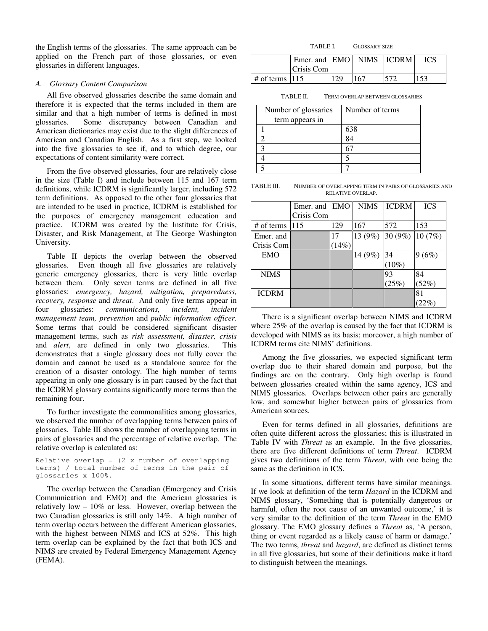the English terms of the glossaries. The same approach can be applied on the French part of those glossaries, or even glossaries in different languages.

### *A. Glossary Content Comparison*

All five observed glossaries describe the same domain and therefore it is expected that the terms included in them are similar and that a high number of terms is defined in most glossaries. Some discrepancy between Canadian and American dictionaries may exist due to the slight differences of American and Canadian English. As a first step, we looked into the five glossaries to see if, and to which degree, our expectations of content similarity were correct.

From the five observed glossaries, four are relatively close in the size (Table I) and include between 115 and 167 term definitions, while ICDRM is significantly larger, including 572 term definitions. As opposed to the other four glossaries that are intended to be used in practice, ICDRM is established for the purposes of emergency management education and practice. ICDRM was created by the Institute for Crisis, Disaster, and Risk Management, at The George Washington University.

Table II depicts the overlap between the observed glossaries. Even though all five glossaries are relatively generic emergency glossaries, there is very little overlap between them. Only seven terms are defined in all five glossaries: *emergency, hazard, mitigation, preparedness, recovery, response* and *threat*. And only five terms appear in four glossaries: *communications, incident, incident management team, prevention* and *public information officer*. Some terms that could be considered significant disaster management terms, such as *risk assessment, disaster, crisis*  and *alert*, are defined in only two glossaries. This demonstrates that a single glossary does not fully cover the domain and cannot be used as a standalone source for the creation of a disaster ontology. The high number of terms appearing in only one glossary is in part caused by the fact that the ICDRM glossary contains significantly more terms than the remaining four.

To further investigate the commonalities among glossaries, we observed the number of overlapping terms between pairs of glossaries. Table III shows the number of overlapping terms in pairs of glossaries and the percentage of relative overlap. The relative overlap is calculated as:

Relative overlap = (2 x number of overlapping terms) / total number of terms in the pair of glossaries x 100%.

The overlap between the Canadian (Emergency and Crisis Communication and EMO) and the American glossaries is relatively low – 10% or less. However, overlap between the two Canadian glossaries is still only 14%. A high number of term overlap occurs between the different American glossaries, with the highest between NIMS and ICS at 52%. This high term overlap can be explained by the fact that both ICS and NIMS are created by Federal Emergency Management Agency (FEMA).

TABLE I. GLOSSARY SIZE

|                          | Emer. and EMO   NIMS   ICDRM |     |     |     |
|--------------------------|------------------------------|-----|-----|-----|
|                          | Crisis Com                   |     |     |     |
| $\pm$ of terms $\pm$ 115 |                              | 129 | 167 | 153 |

TABLE II. TERM OVERLAP BETWEEN GLOSSARIES

| Number of glossaries<br>term appears in | Number of terms |
|-----------------------------------------|-----------------|
|                                         | 638             |
|                                         |                 |
|                                         |                 |
|                                         |                 |
|                                         |                 |

TABLE III. NUMBER OF OVERLAPPING TERM IN PAIRS OF GLOSSARIES AND RELATIVE OVERLAP.

|              | Emer. and EMO |       | <b>NIMS</b> | <b>ICDRM</b> | <b>ICS</b> |
|--------------|---------------|-------|-------------|--------------|------------|
|              | Crisis Com    |       |             |              |            |
| # of terms   | 115           | 129   | 167         | 572          | 153        |
| Emer. and    |               | 17    | 13 (9%)     | 30 (9%)      | 10(7%)     |
| Crisis Com   |               | (14%) |             |              |            |
| <b>EMO</b>   |               |       | 14 (9%)     | 34           | 9(6%)      |
|              |               |       |             | $(10\%)$     |            |
| <b>NIMS</b>  |               |       |             | 93           | 84         |
|              |               |       |             | (25%)        | (52%)      |
| <b>ICDRM</b> |               |       |             |              | 81         |
|              |               |       |             |              | $(22\%)$   |

There is a significant overlap between NIMS and ICDRM where 25% of the overlap is caused by the fact that ICDRM is developed with NIMS as its basis; moreover, a high number of ICDRM terms cite NIMS' definitions.

Among the five glossaries, we expected significant term overlap due to their shared domain and purpose, but the findings are on the contrary. Only high overlap is found between glossaries created within the same agency, ICS and NIMS glossaries. Overlaps between other pairs are generally low, and somewhat higher between pairs of glossaries from American sources.

Even for terms defined in all glossaries, definitions are often quite different across the glossaries; this is illustrated in Table IV with *Threat* as an example. In the five glossaries, there are five different definitions of term *Threat*. ICDRM gives two definitions of the term *Threat*, with one being the same as the definition in ICS.

In some situations, different terms have similar meanings. If we look at definition of the term *Hazard* in the ICDRM and NIMS glossary, 'Something that is potentially dangerous or harmful, often the root cause of an unwanted outcome,' it is very similar to the definition of the term *Threat* in the EMO glossary. The EMO glossary defines a *Threat* as, 'A person, thing or event regarded as a likely cause of harm or damage.' The two terms, *threat* and *hazard*, are defined as distinct terms in all five glossaries, but some of their definitions make it hard to distinguish between the meanings.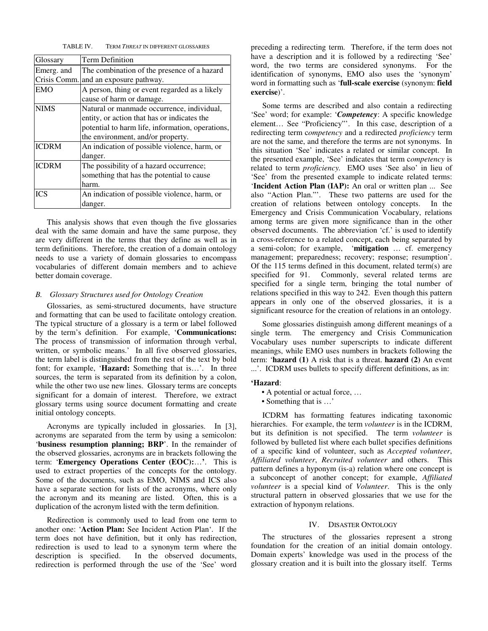TABLE IV. TERM *THREAT* IN DIFFERENT GLOSSARIES

| Glossary     | Term Definition                                  |  |
|--------------|--------------------------------------------------|--|
| Emerg. and   | The combination of the presence of a hazard      |  |
| Crisis Comm. | and an exposure pathway.                         |  |
| <b>EMO</b>   | A person, thing or event regarded as a likely    |  |
|              | cause of harm or damage.                         |  |
| <b>NIMS</b>  | Natural or manmade occurrence, individual,       |  |
|              | entity, or action that has or indicates the      |  |
|              | potential to harm life, information, operations, |  |
|              | the environment, and/or property.                |  |
| <b>ICDRM</b> | An indication of possible violence, harm, or     |  |
|              | danger.                                          |  |
| <b>ICDRM</b> | The possibility of a hazard occurrence;          |  |
|              | something that has the potential to cause        |  |
|              | harm.                                            |  |
| <b>ICS</b>   | An indication of possible violence, harm, or     |  |
|              | danger.                                          |  |

This analysis shows that even though the five glossaries deal with the same domain and have the same purpose, they are very different in the terms that they define as well as in term definitions. Therefore, the creation of a domain ontology needs to use a variety of domain glossaries to encompass vocabularies of different domain members and to achieve better domain coverage.

#### *B. Glossary Structures used for Ontology Creation*

Glossaries, as semi-structured documents, have structure and formatting that can be used to facilitate ontology creation. The typical structure of a glossary is a term or label followed by the term's definition. For example, '**Communications:** The process of transmission of information through verbal, written, or symbolic means.' In all five observed glossaries, the term label is distinguished from the rest of the text by bold font; for example, '**Hazard:** Something that is…'. In three sources, the term is separated from its definition by a colon, while the other two use new lines. Glossary terms are concepts significant for a domain of interest. Therefore, we extract glossary terms using source document formatting and create initial ontology concepts.

Acronyms are typically included in glossaries. In [3], acronyms are separated from the term by using a semicolon: '**business resumption planning; BRP**'. In the remainder of the observed glossaries, acronyms are in brackets following the term: '**Emergency Operations Center (EOC):**…**'**. This is used to extract properties of the concepts for the ontology. Some of the documents, such as EMO, NIMS and ICS also have a separate section for lists of the acronyms, where only the acronym and its meaning are listed. Often, this is a duplication of the acronym listed with the term definition.

Redirection is commonly used to lead from one term to another one: '**Action Plan:** See Incident Action Plan'. If the term does not have definition, but it only has redirection, redirection is used to lead to a synonym term where the description is specified. In the observed documents, redirection is performed through the use of the 'See' word

preceding a redirecting term. Therefore, if the term does not have a description and it is followed by a redirecting 'See' word, the two terms are considered synonyms. For the identification of synonyms, EMO also uses the 'synonym' word in formatting such as '**full-scale exercise** (synonym: **field exercise**)'.

Some terms are described and also contain a redirecting 'See' word; for example: '*Competency*: A specific knowledge element… See "Proficiency"'. In this case, description of a redirecting term c*ompetency* and a redirected *proficiency* term are not the same, and therefore the terms are not synonyms. In this situation 'See' indicates a related or similar concept. In the presented example, 'See' indicates that term c*ompetency* is related to term *proficiency.* EMO uses 'See also' in lieu of 'See' from the presented example to indicate related terms: '**Incident Action Plan (IAP):** An oral or written plan ... See also "Action Plan."'. These two patterns are used for the creation of relations between ontology concepts. In the Emergency and Crisis Communication Vocabulary, relations among terms are given more significance than in the other observed documents. The abbreviation 'cf.' is used to identify a cross-reference to a related concept, each being separated by a semi-colon; for example, '**mitigation** … cf. emergency management; preparedness; recovery; response; resumption'. Of the 115 terms defined in this document, related term(s) are specified for 91. Commonly, several related terms are specified for a single term, bringing the total number of relations specified in this way to 242. Even though this pattern appears in only one of the observed glossaries, it is a significant resource for the creation of relations in an ontology.

Some glossaries distinguish among different meanings of a single term. The emergency and Crisis Communication Vocabulary uses number superscripts to indicate different meanings, while EMO uses numbers in brackets following the term: '**hazard (1)** A risk that is a threat. **hazard (2)** An event ...'. ICDRM uses bullets to specify different definitions, as in:

#### **'Hazard**:

- A potential or actual force, …
- Something that is  $\ldots$

ICDRM has formatting features indicating taxonomic hierarchies. For example, the term *volunteer* is in the ICDRM, but its definition is not specified. The term *volunteer* is followed by bulleted list where each bullet specifies definitions of a specific kind of volunteer, such as *Accepted volunteer*, *Affiliated volunteer*, *Recruited volunteer* and others. This pattern defines a hyponym (is-a) relation where one concept is a subconcept of another concept; for example, *Affiliated volunteer* is a special kind of *Volunteer*. This is the only structural pattern in observed glossaries that we use for the extraction of hyponym relations.

#### IV. DISASTER ONTOLOGY

The structures of the glossaries represent a strong foundation for the creation of an initial domain ontology. Domain experts' knowledge was used in the process of the glossary creation and it is built into the glossary itself. Terms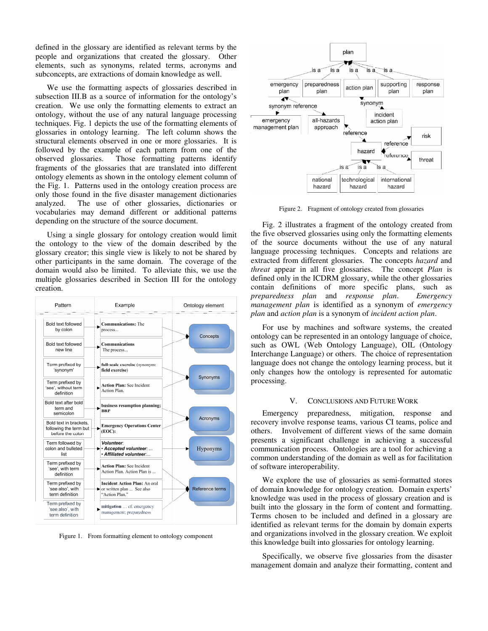defined in the glossary are identified as relevant terms by the people and organizations that created the glossary. Other elements, such as synonyms, related terms, acronyms and subconcepts, are extractions of domain knowledge as well.

We use the formatting aspects of glossaries described in subsection III.B as a source of information for the ontology's creation. We use only the formatting elements to extract an ontology, without the use of any natural language processing techniques. Fig. 1 depicts the use of the formatting elements of glossaries in ontology learning. The left column shows the structural elements observed in one or more glossaries. It is followed by the example of each pattern from one of the observed glossaries. Those formatting patterns identify fragments of the glossaries that are translated into different ontology elements as shown in the ontology element column of the Fig. 1. Patterns used in the ontology creation process are only those found in the five disaster management dictionaries analyzed. The use of other glossaries, dictionaries or vocabularies may demand different or additional patterns depending on the structure of the source document.

Using a single glossary for ontology creation would limit the ontology to the view of the domain described by the glossary creator; this single view is likely to not be shared by other participants in the same domain. The coverage of the domain would also be limited. To alleviate this, we use the multiple glossaries described in Section III for the ontology creation.



Figure 1. From formatting element to ontology component



Figure 2. Fragment of ontology created from glossaries

Fig. 2 illustrates a fragment of the ontology created from the five observed glossaries using only the formatting elements of the source documents without the use of any natural language processing techniques. Concepts and relations are extracted from different glossaries. The concepts *hazard* and *threat* appear in all five glossaries. The concept *Plan* is defined only in the ICDRM glossary, while the other glossaries contain definitions of more specific plans, such as *preparedness plan* and *response plan*. *Emergency management plan* is identified as a synonym of *emergency plan* and *action plan* is a synonym of *incident action plan*.

For use by machines and software systems, the created ontology can be represented in an ontology language of choice, such as OWL (Web Ontology Language), OIL (Ontology Interchange Language) or others. The choice of representation language does not change the ontology learning process, but it only changes how the ontology is represented for automatic processing.

#### V. CONCLUSIONS AND FUTURE WORK

Emergency preparedness, mitigation, response and recovery involve response teams, various CI teams, police and others. Involvement of different views of the same domain presents a significant challenge in achieving a successful communication process. Ontologies are a tool for achieving a common understanding of the domain as well as for facilitation of software interoperability.

We explore the use of glossaries as semi-formatted stores of domain knowledge for ontology creation. Domain experts' knowledge was used in the process of glossary creation and is built into the glossary in the form of content and formatting. Terms chosen to be included and defined in a glossary are identified as relevant terms for the domain by domain experts and organizations involved in the glossary creation. We exploit this knowledge built into glossaries for ontology learning.

Specifically, we observe five glossaries from the disaster management domain and analyze their formatting, content and